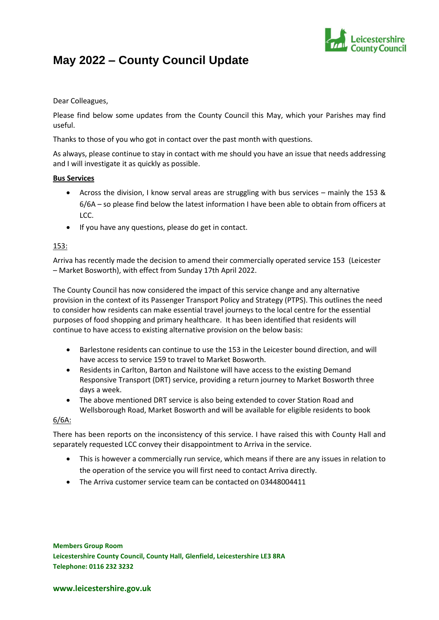

# **May 2022 – County Council Update**

#### Dear Colleagues,

Please find below some updates from the County Council this May, which your Parishes may find useful.

Thanks to those of you who got in contact over the past month with questions.

As always, please continue to stay in contact with me should you have an issue that needs addressing and I will investigate it as quickly as possible.

### **Bus Services**

- Across the division, I know serval areas are struggling with bus services mainly the 153 & 6/6A – so please find below the latest information I have been able to obtain from officers at LCC.
- If you have any questions, please do get in contact.

## 153:

Arriva has recently made the decision to amend their commercially operated service 153 (Leicester – Market Bosworth), with effect from Sunday 17th April 2022.

The County Council has now considered the impact of this service change and any alternative provision in the context of its Passenger Transport Policy and Strategy (PTPS). This outlines the need to consider how residents can make essential travel journeys to the local centre for the essential purposes of food shopping and primary healthcare. It has been identified that residents will continue to have access to existing alternative provision on the below basis:

- Barlestone residents can continue to use the 153 in the Leicester bound direction, and will have access to service 159 to travel to Market Bosworth.
- Residents in Carlton, Barton and Nailstone will have access to the existing Demand Responsive Transport (DRT) service, providing a return journey to Market Bosworth three days a week.
- The above mentioned DRT service is also being extended to cover Station Road and Wellsborough Road, Market Bosworth and will be available for eligible residents to book

#### 6/6A:

There has been reports on the inconsistency of this service. I have raised this with County Hall and separately requested LCC convey their disappointment to Arriva in the service.

- This is however a commercially run service, which means if there are any issues in relation to the operation of the service you will first need to contact Arriva directly.
- The Arriva customer service team can be contacted on 03448004411